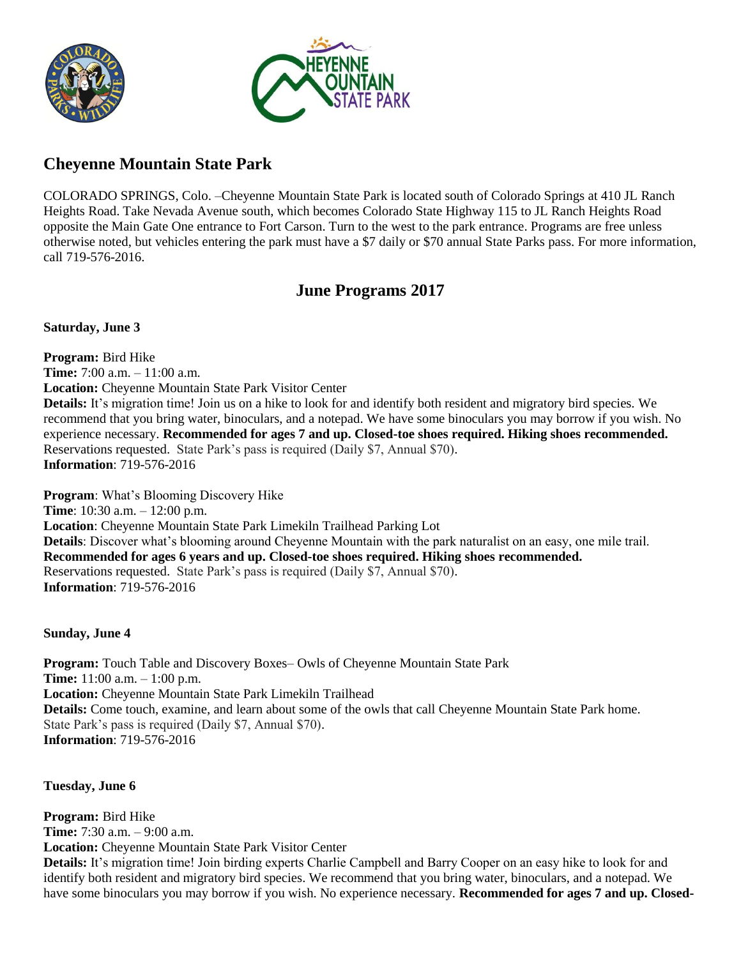



## **Cheyenne Mountain State Park**

COLORADO SPRINGS, Colo. –Cheyenne Mountain State Park is located south of Colorado Springs at 410 JL Ranch Heights Road. Take Nevada Avenue south, which becomes Colorado State Highway 115 to JL Ranch Heights Road opposite the Main Gate One entrance to Fort Carson. Turn to the west to the park entrance. Programs are free unless otherwise noted, but vehicles entering the park must have a \$7 daily or \$70 annual State Parks pass. For more information, call 719-576-2016.

## **June Programs 2017**

**Saturday, June 3**

**Program:** Bird Hike **Time:** 7:00 a.m. – 11:00 a.m. **Location:** Cheyenne Mountain State Park Visitor Center **Details:** It's migration time! Join us on a hike to look for and identify both resident and migratory bird species. We recommend that you bring water, binoculars, and a notepad. We have some binoculars you may borrow if you wish. No experience necessary. **Recommended for ages 7 and up. Closed-toe shoes required. Hiking shoes recommended.** Reservations requested. State Park's pass is required (Daily \$7, Annual \$70). **Information**: 719-576-2016

**Program**: What's Blooming Discovery Hike **Time**: 10:30 a.m. – 12:00 p.m. **Location**: Cheyenne Mountain State Park Limekiln Trailhead Parking Lot **Details**: Discover what's blooming around Cheyenne Mountain with the park naturalist on an easy, one mile trail. **Recommended for ages 6 years and up. Closed-toe shoes required. Hiking shoes recommended.** Reservations requested. State Park's pass is required (Daily \$7, Annual \$70). **Information**: 719-576-2016

#### **Sunday, June 4**

**Program:** Touch Table and Discovery Boxes– Owls of Cheyenne Mountain State Park **Time:** 11:00 a.m. – 1:00 p.m. **Location:** Cheyenne Mountain State Park Limekiln Trailhead **Details:** Come touch, examine, and learn about some of the owls that call Cheyenne Mountain State Park home. State Park's pass is required (Daily \$7, Annual \$70). **Information**: 719-576-2016

**Tuesday, June 6**

**Program:** Bird Hike **Time:** 7:30 a.m. – 9:00 a.m. **Location:** Cheyenne Mountain State Park Visitor Center **Details:** It's migration time! Join birding experts Charlie Campbell and Barry Cooper on an easy hike to look for and identify both resident and migratory bird species. We recommend that you bring water, binoculars, and a notepad. We have some binoculars you may borrow if you wish. No experience necessary. **Recommended for ages 7 and up. Closed-**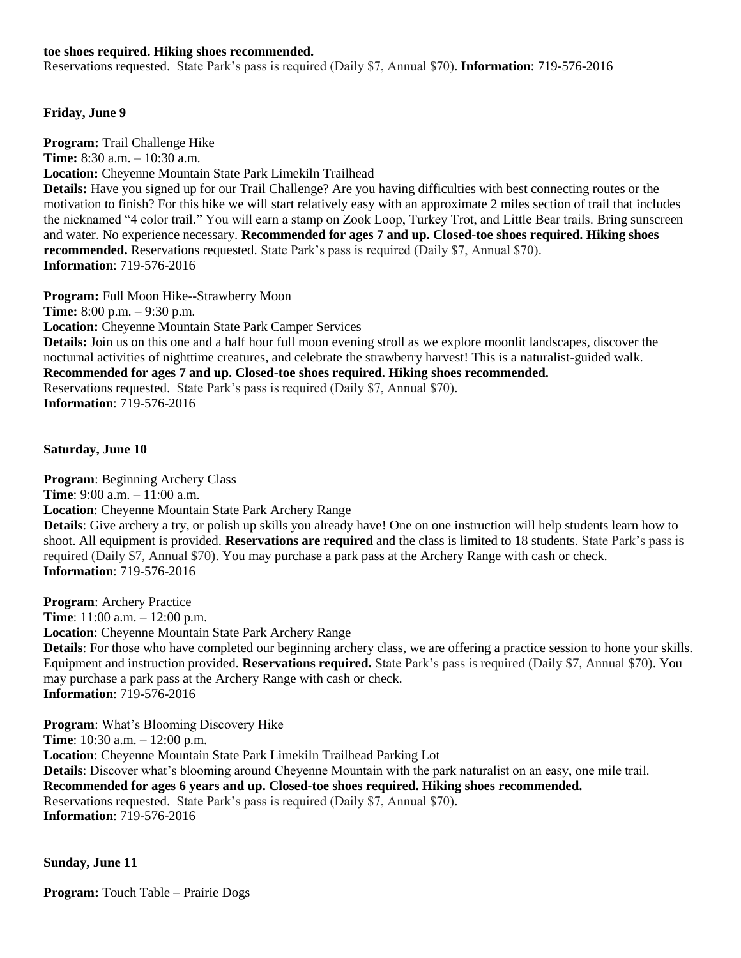#### **toe shoes required. Hiking shoes recommended.**

Reservations requested. State Park's pass is required (Daily \$7, Annual \$70). **Information**: 719-576-2016

#### **Friday, June 9**

**Program:** Trail Challenge Hike **Time:** 8:30 a.m. – 10:30 a.m. **Location:** Cheyenne Mountain State Park Limekiln Trailhead **Details:** Have you signed up for our Trail Challenge? Are you having difficulties with best connecting routes or the motivation to finish? For this hike we will start relatively easy with an approximate 2 miles section of trail that includes the nicknamed "4 color trail." You will earn a stamp on Zook Loop, Turkey Trot, and Little Bear trails. Bring sunscreen and water. No experience necessary. **Recommended for ages 7 and up. Closed-toe shoes required. Hiking shoes recommended.** Reservations requested. State Park's pass is required (Daily \$7, Annual \$70). **Information**: 719-576-2016

**Program:** Full Moon Hike--Strawberry Moon **Time:** 8:00 p.m. – 9:30 p.m. **Location:** Cheyenne Mountain State Park Camper Services **Details:** Join us on this one and a half hour full moon evening stroll as we explore moonlit landscapes, discover the nocturnal activities of nighttime creatures, and celebrate the strawberry harvest! This is a naturalist-guided walk. **Recommended for ages 7 and up. Closed-toe shoes required. Hiking shoes recommended.** Reservations requested. State Park's pass is required (Daily \$7, Annual \$70). **Information**: 719-576-2016

**Saturday, June 10**

**Program**: Beginning Archery Class **Time**: 9:00 a.m. – 11:00 a.m. **Location**: Cheyenne Mountain State Park Archery Range **Details**: Give archery a try, or polish up skills you already have! One on one instruction will help students learn how to shoot. All equipment is provided. **Reservations are required** and the class is limited to 18 students. State Park's pass is required (Daily \$7, Annual \$70). You may purchase a park pass at the Archery Range with cash or check. **Information**: 719-576-2016

**Program**: Archery Practice **Time**: 11:00 a.m. – 12:00 p.m. **Location**: Cheyenne Mountain State Park Archery Range **Details**: For those who have completed our beginning archery class, we are offering a practice session to hone your skills. Equipment and instruction provided. **Reservations required.** State Park's pass is required (Daily \$7, Annual \$70). You may purchase a park pass at the Archery Range with cash or check.

**Information**: 719-576-2016

**Program**: What's Blooming Discovery Hike

**Time**: 10:30 a.m. – 12:00 p.m.

**Location**: Cheyenne Mountain State Park Limekiln Trailhead Parking Lot

**Details**: Discover what's blooming around Cheyenne Mountain with the park naturalist on an easy, one mile trail. **Recommended for ages 6 years and up. Closed-toe shoes required. Hiking shoes recommended.**

Reservations requested. State Park's pass is required (Daily \$7, Annual \$70). **Information**: 719-576-2016

**Sunday, June 11**

**Program:** Touch Table – Prairie Dogs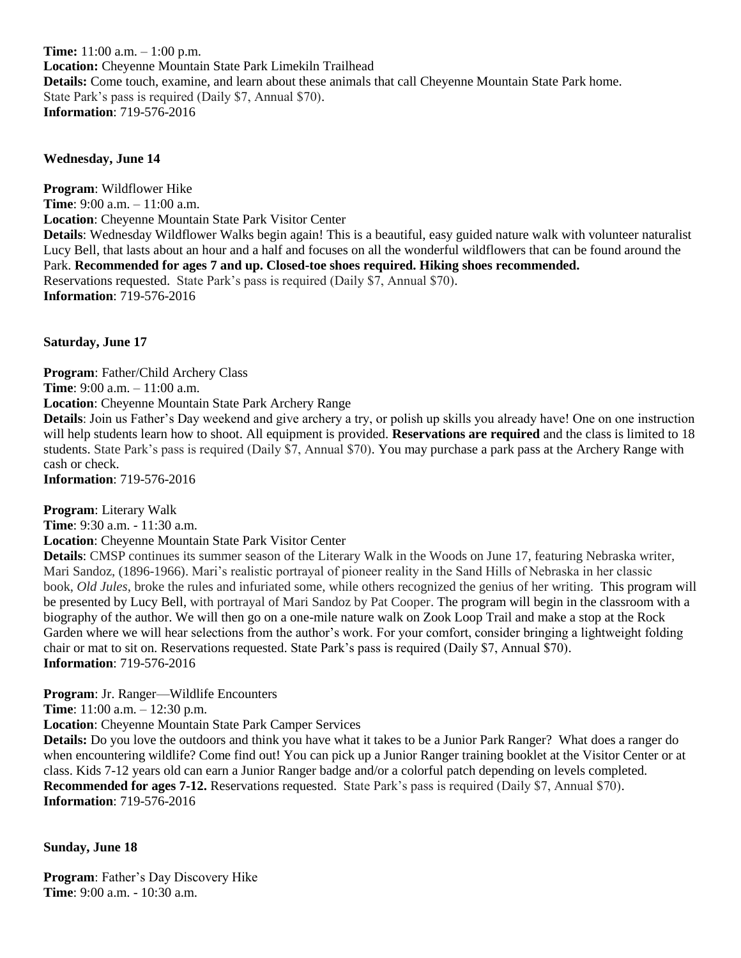**Time:** 11:00 a.m. – 1:00 p.m. **Location:** Cheyenne Mountain State Park Limekiln Trailhead **Details:** Come touch, examine, and learn about these animals that call Cheyenne Mountain State Park home. State Park's pass is required (Daily \$7, Annual \$70). **Information**: 719-576-2016

#### **Wednesday, June 14**

**Program**: Wildflower Hike **Time**: 9:00 a.m. – 11:00 a.m. **Location**: Cheyenne Mountain State Park Visitor Center **Details**: Wednesday Wildflower Walks begin again! This is a beautiful, easy guided nature walk with volunteer naturalist Lucy Bell, that lasts about an hour and a half and focuses on all the wonderful wildflowers that can be found around the Park. **Recommended for ages 7 and up. Closed-toe shoes required. Hiking shoes recommended.** Reservations requested. State Park's pass is required (Daily \$7, Annual \$70). **Information**: 719-576-2016

**Saturday, June 17**

**Program**: Father/Child Archery Class **Time**: 9:00 a.m. – 11:00 a.m. **Location**: Cheyenne Mountain State Park Archery Range **Details**: Join us Father's Day weekend and give archery a try, or polish up skills you already have! One on one instruction will help students learn how to shoot. All equipment is provided. **Reservations are required** and the class is limited to 18

students. State Park's pass is required (Daily \$7, Annual \$70). You may purchase a park pass at the Archery Range with cash or check. **Information**: 719-576-2016

**Program**: Literary Walk

**Time**: 9:30 a.m. - 11:30 a.m.

**Location**: Cheyenne Mountain State Park Visitor Center

**Details**: CMSP continues its summer season of the Literary Walk in the Woods on June 17, featuring Nebraska writer, Mari Sandoz, (1896-1966). Mari's realistic portrayal of pioneer reality in the Sand Hills of Nebraska in her classic book, *Old Jules*, broke the rules and infuriated some, while others recognized the genius of her writing. This program will be presented by Lucy Bell, with portrayal of Mari Sandoz by Pat Cooper. The program will begin in the classroom with a biography of the author. We will then go on a one-mile nature walk on Zook Loop Trail and make a stop at the Rock Garden where we will hear selections from the author's work. For your comfort, consider bringing a lightweight folding chair or mat to sit on. Reservations requested. State Park's pass is required (Daily \$7, Annual \$70). **Information**: 719-576-2016

**Program**: Jr. Ranger—Wildlife Encounters

**Time**: 11:00 a.m. – 12:30 p.m.

**Location**: Cheyenne Mountain State Park Camper Services

**Details:** Do you love the outdoors and think you have what it takes to be a Junior Park Ranger? What does a ranger do when encountering wildlife? Come find out! You can pick up a Junior Ranger training booklet at the Visitor Center or at class. Kids 7-12 years old can earn a Junior Ranger badge and/or a colorful patch depending on levels completed. **Recommended for ages 7-12.** Reservations requested. State Park's pass is required (Daily \$7, Annual \$70). **Information**: 719-576-2016

### **Sunday, June 18**

**Program**: Father's Day Discovery Hike **Time**: 9:00 a.m. - 10:30 a.m.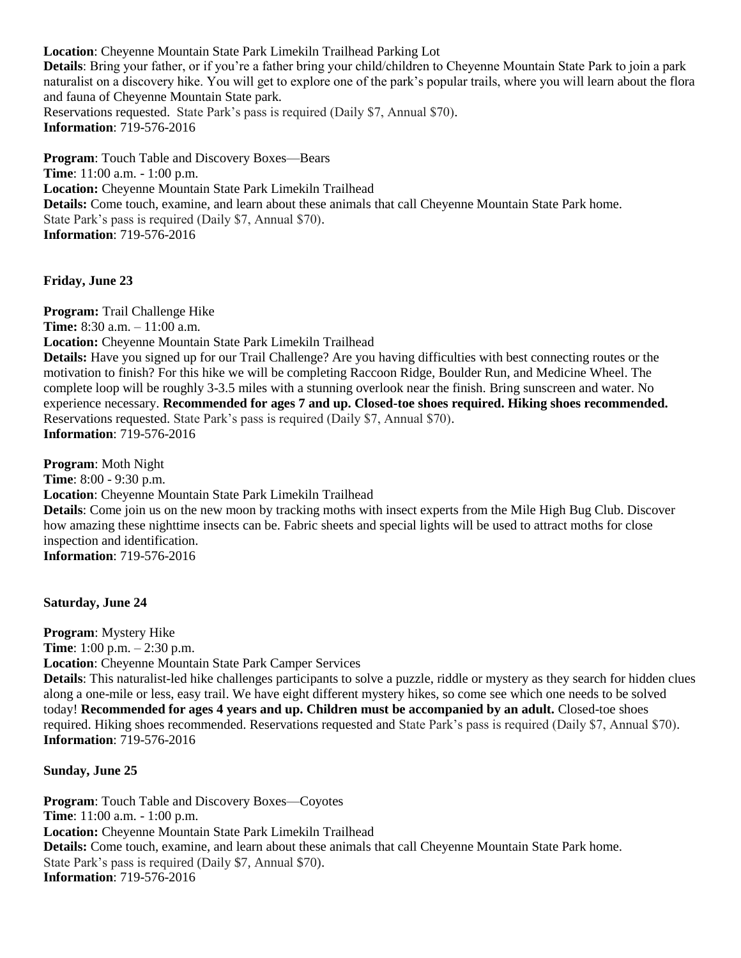**Location**: Cheyenne Mountain State Park Limekiln Trailhead Parking Lot **Details**: Bring your father, or if you're a father bring your child/children to Cheyenne Mountain State Park to join a park naturalist on a discovery hike. You will get to explore one of the park's popular trails, where you will learn about the flora and fauna of Cheyenne Mountain State park. Reservations requested. State Park's pass is required (Daily \$7, Annual \$70). **Information**: 719-576-2016

**Program**: Touch Table and Discovery Boxes—Bears **Time**: 11:00 a.m. - 1:00 p.m. **Location:** Cheyenne Mountain State Park Limekiln Trailhead **Details:** Come touch, examine, and learn about these animals that call Cheyenne Mountain State Park home. State Park's pass is required (Daily \$7, Annual \$70). **Information**: 719-576-2016

**Friday, June 23**

**Program:** Trail Challenge Hike **Time:** 8:30 a.m. – 11:00 a.m. **Location:** Cheyenne Mountain State Park Limekiln Trailhead **Details:** Have you signed up for our Trail Challenge? Are you having difficulties with best connecting routes or the motivation to finish? For this hike we will be completing Raccoon Ridge, Boulder Run, and Medicine Wheel. The complete loop will be roughly 3-3.5 miles with a stunning overlook near the finish. Bring sunscreen and water. No experience necessary. **Recommended for ages 7 and up. Closed-toe shoes required. Hiking shoes recommended.** Reservations requested. State Park's pass is required (Daily \$7, Annual \$70). **Information**: 719-576-2016

**Program**: Moth Night **Time**: 8:00 - 9:30 p.m. **Location**: Cheyenne Mountain State Park Limekiln Trailhead **Details**: Come join us on the new moon by tracking moths with insect experts from the Mile High Bug Club. Discover how amazing these nighttime insects can be. Fabric sheets and special lights will be used to attract moths for close inspection and identification. **Information**: 719-576-2016

**Saturday, June 24**

**Program**: Mystery Hike **Time**: 1:00 p.m. – 2:30 p.m. **Location**: Cheyenne Mountain State Park Camper Services

**Details**: This naturalist-led hike challenges participants to solve a puzzle, riddle or mystery as they search for hidden clues along a one-mile or less, easy trail. We have eight different mystery hikes, so come see which one needs to be solved today! **Recommended for ages 4 years and up. Children must be accompanied by an adult.** Closed-toe shoes required. Hiking shoes recommended. Reservations requested and State Park's pass is required (Daily \$7, Annual \$70). **Information**: 719-576-2016

**Sunday, June 25**

**Program**: Touch Table and Discovery Boxes—Coyotes **Time**: 11:00 a.m. - 1:00 p.m. **Location:** Cheyenne Mountain State Park Limekiln Trailhead **Details:** Come touch, examine, and learn about these animals that call Cheyenne Mountain State Park home. State Park's pass is required (Daily \$7, Annual \$70). **Information**: 719-576-2016